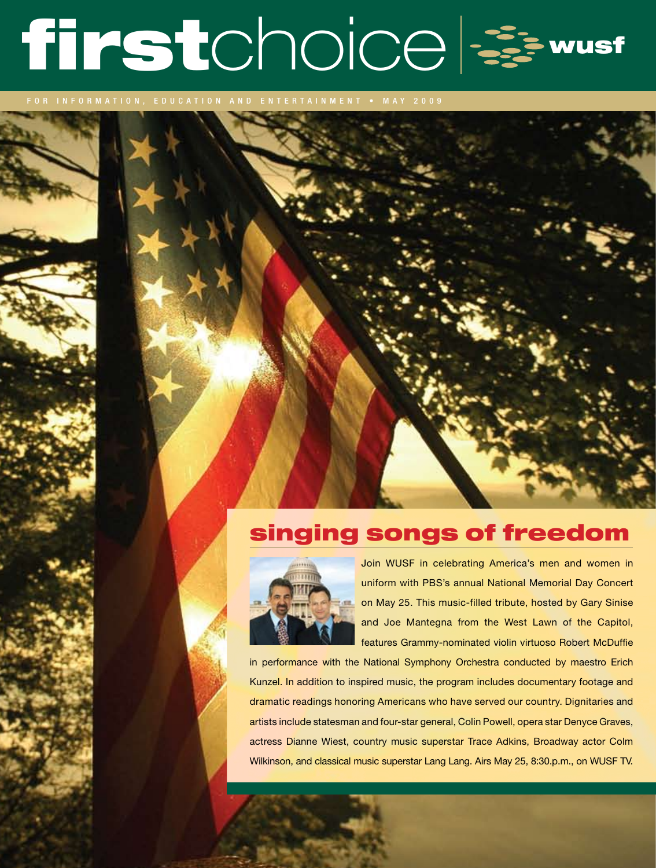# firstchoice =

INFORMATION, EDUCATION AND ENTERTAINMENT • MAY 2009

# singing songs of freedom



Join WUSF in celebrating America's men and women in uniform with PBS's annual National Memorial Day Concert on May 25. This music-filled tribute, hosted by Gary Sinise and Joe Mantegna from the West Lawn of the Capitol, features Grammy-nominated violin virtuoso Robert McDuffie

in performance with the National Symphony Orchestra conducted by maestro Erich Kunzel. In addition to inspired music, the program includes documentary footage and dramatic readings honoring Americans who have served our country. Dignitaries and artists include statesman and four-star general, Colin Powell, opera star Denyce Graves, actress Dianne Wiest, country music superstar Trace Adkins, Broadway actor Colm Wilkinson, and classical music superstar Lang Lang. Airs May 25, 8:30.p.m., on WUSF TV.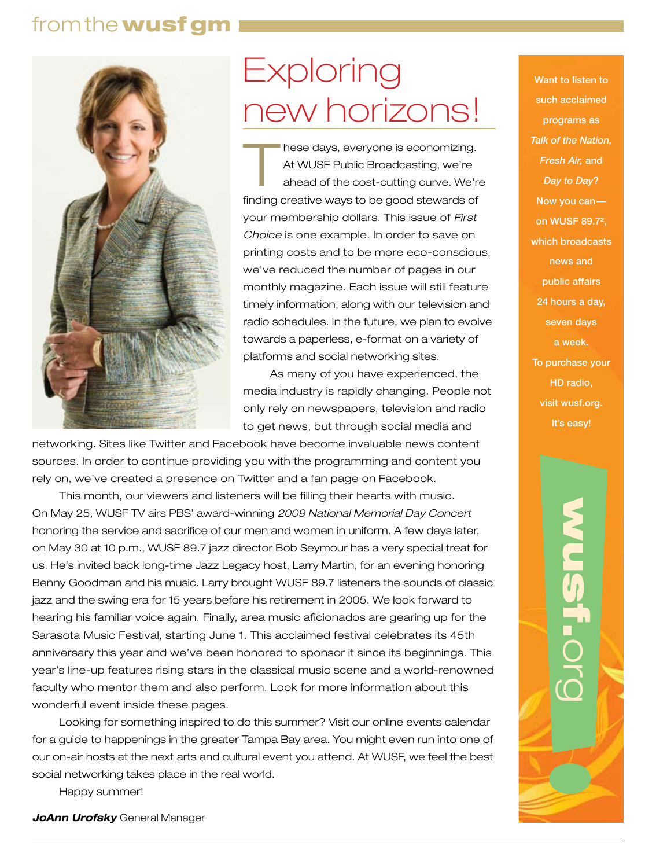### from the wusf gm



# **Exploring** new horizons!

hese days, everyone is economizing. At WUSF Public Broadcasting, we're ahead of the cost-cutting curve. We're finding creative ways to be good stewards of your membership dollars. This issue of *First Choice* is one example. In order to save on printing costs and to be more eco-conscious, we've reduced the number of pages in our monthly magazine. Each issue will still feature timely information, along with our television and radio schedules. In the future, we plan to evolve towards a paperless, e-format on a variety of platforms and social networking sites.

As many of you have experienced, the media industry is rapidly changing. People not only rely on newspapers, television and radio to get news, but through social media and

networking. Sites like Twitter and Facebook have become invaluable news content sources. In order to continue providing you with the programming and content you rely on, we've created a presence on Twitter and a fan page on Facebook.

This month, our viewers and listeners will be filling their hearts with music. On May 25, WUSF TV airs PBS' award-winning *2009 National Memorial Day Concert* honoring the service and sacrifice of our men and women in uniform. A few days later, on May 30 at 10 p.m., WUSF 89.7 jazz director Bob Seymour has a very special treat for us. He's invited back long-time Jazz Legacy host, Larry Martin, for an evening honoring Benny Goodman and his music. Larry brought WUSF 89.7 listeners the sounds of classic jazz and the swing era for 15 years before his retirement in 2005. We look forward to hearing his familiar voice again. Finally, area music aficionados are gearing up for the Sarasota Music Festival, starting June 1. This acclaimed festival celebrates its 45th anniversary this year and we've been honored to sponsor it since its beginnings. This year's line-up features rising stars in the classical music scene and a world-renowned faculty who mentor them and also perform. Look for more information about this wonderful event inside these pages.

Looking for something inspired to do this summer? Visit our online events calendar for a guide to happenings in the greater Tampa Bay area. You might even run into one of our on-air hosts at the next arts and cultural event you attend. At WUSF, we feel the best social networking takes place in the real world.

Happy summer!

*JoAnn Urofsky* General Manager

Want to listen to such acclaimed programs as *Talk of the Nation, Fresh Air,* and *Day to Day*? Now you can on WUSF 89.7², which broadcasts news and public affairs 24 hours a day, seven days a week. To purchase your HD radio, visit wusf.org. It's easy!

wusf.

org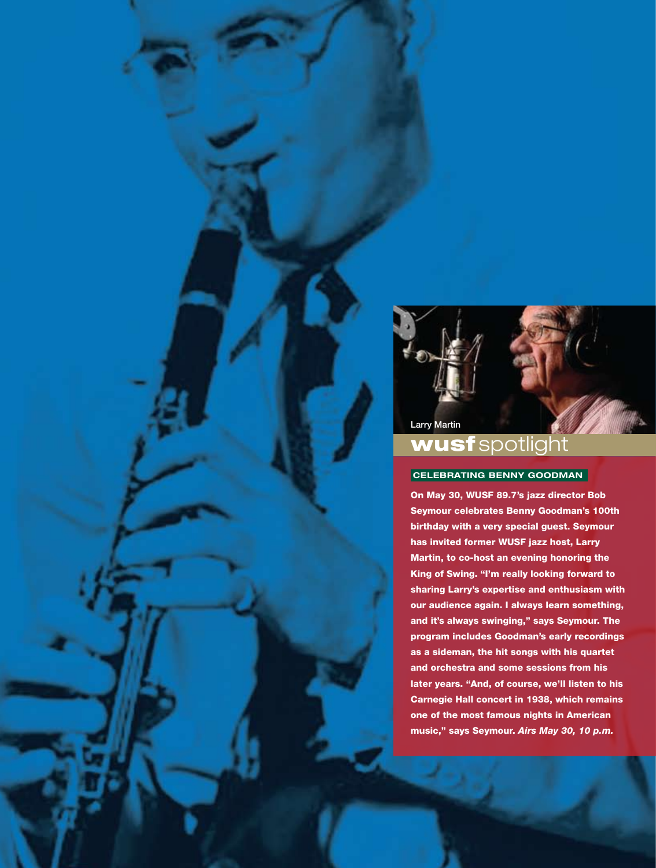

# wusf spotlight

#### **CELEBRATING BENNY GOODMAN**

On May 30, WUSF 89.7's jazz director Bob Seymour celebrates Benny Goodman's 100th birthday with a very special guest. Seymour has invited former WUSF jazz host, Larry Martin, to co-host an evening honoring the King of Swing. "I'm really looking forward to sharing Larry's expertise and enthusiasm with our audience again. I always learn something, and it's always swinging," says Seymour. The program includes Goodman's early recordings as a sideman, the hit songs with his quartet and orchestra and some sessions from his later years. "And, of course, we'll listen to his Carnegie Hall concert in 1938, which remains one of the most famous nights in American music," says Seymour. *Airs May 30, 10 p.m.*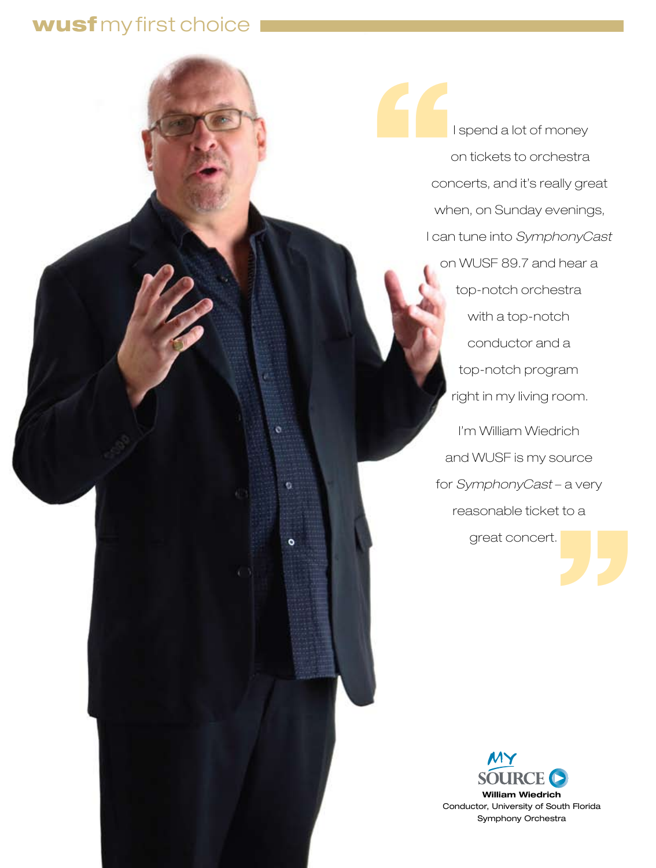# wusf my first choice

 $\ddot{\circ}$ 

Ÿ.

 $\bullet$ 

'' |<br>| spend a lot of money<br>|<br>on tickets to orchestre<br>|<br>concerts, and it's really gr on tickets to orchestra concerts, and it's really great when, on Sunday evenings, I can tune into *SymphonyCast* on WUSF 89.7 and hear a top-notch orchestra with a top-notch conductor and a top-notch program right in my living room. I'm William Wiedrich and WUSF is my source for *SymphonyCast* – a very reasonable ticket to a great concert.

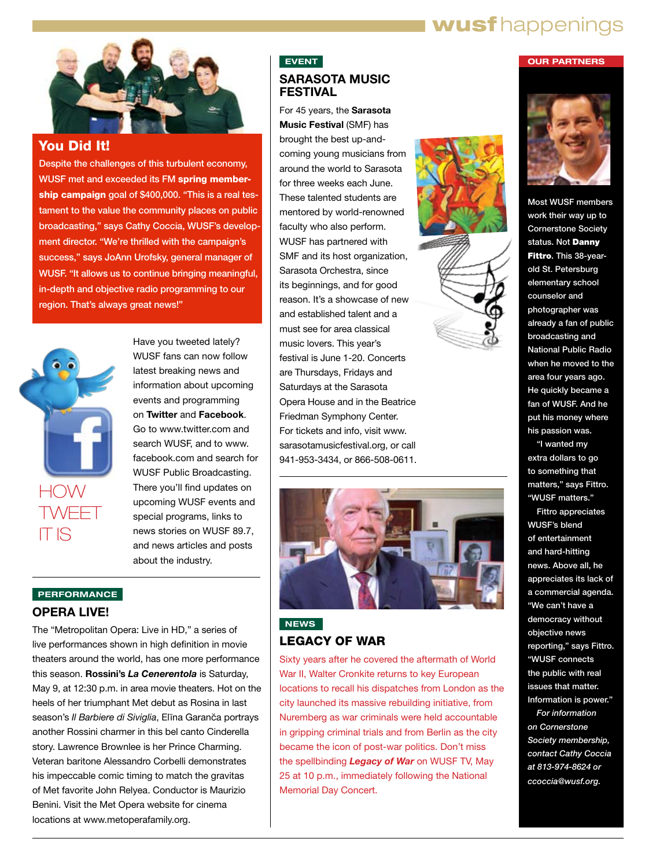# **wusf** happenings



#### You Did It!

Despite the challenges of this turbulent economy, WUSF met and exceeded its FM spring membership campaign goal of \$400,000. "This is a real testament to the value the community places on public broadcasting," says Cathy Coccia, WUSF's development director. "We're thrilled with the campaign's success," says JoAnn Urofsky, general manager of WUSF. "It allows us to continue bringing meaningful, in-depth and objective radio programming to our region. That's always great news!"



Have you tweeted lately? WUSF fans can now follow latest breaking news and information about upcoming events and programming on **Twitter** and **Facebook**. Go to www.twitter.com and search WUSF, and to www. facebook.com and search for WUSF Public Broadcasting. There you'll find updates on upcoming WUSF events and special programs, links to news stories on WUSF 89.7, and news articles and posts about the industry.

#### **PERFORMANCE**

#### **OPERA LIVE!**

The "Metropolitan Opera: Live in HD," a series of live performances shown in high definition in movie theaters around the world, has one more performance this season. **Rossini's** *La Cenerentola* is Saturday, May 9, at 12:30 p.m. in area movie theaters. Hot on the heels of her triumphant Met debut as Rosina in last season's *Il Barbiere di Siviglia*, Elīna Garanča portrays another Rossini charmer in this bel canto Cinderella story. Lawrence Brownlee is her Prince Charming. Veteran baritone Alessandro Corbelli demonstrates his impeccable comic timing to match the gravitas of Met favorite John Relyea. Conductor is Maurizio Benini. Visit the Met Opera website for cinema locations at www.metoperafamily.org.

#### **EVENT SARASOTA MUSIC FESTIVAL**

For 45 years, the **Sarasota Music Festival** (SMF) has brought the best up-andcoming young musicians from around the world to Sarasota for three weeks each June. These talented students are mentored by world-renowned faculty who also perform. WUSF has partnered with SMF and its host organization, Sarasota Orchestra, since its beginnings, and for good reason. It's a showcase of new and established talent and a must see for area classical music lovers. This year's festival is June 1-20. Concerts are Thursdays, Fridays and Saturdays at the Sarasota Opera House and in the Beatrice Friedman Symphony Center. For tickets and info, visit www. sarasotamusicfestival.org, or call 941-953-3434, or 866-508-0611.



#### **NEWS** LEGACY OF WAR

Sixty years after he covered the aftermath of World War II, Walter Cronkite returns to key European locations to recall his dispatches from London as the city launched its massive rebuilding initiative, from Nuremberg as war criminals were held accountable in gripping criminal trials and from Berlin as the city became the icon of post-war politics. Don't miss the spellbinding *Legacy of War* on WUSF TV, May 25 at 10 p.m., immediately following the National Memorial Day Concert.







**OUR PARTNERS**

Most WUSF members work their way up to Cornerstone Society status. Not Danny Fittro. This 38-yearold St. Petersburg elementary school counselor and photographer was already a fan of public broadcasting and National Public Radio when he moved to the area four years ago. He quickly became a fan of WUSF. And he put his money where his passion was.

"I wanted my extra dollars to go to something that matters," says Fittro. "WUSF matters."

Fittro appreciates WUSF's blend of entertainment and hard-hitting news. Above all, he appreciates its lack of a commercial agenda. "We can't have a democracy without objective news reporting," says Fittro. "WUSF connects the public with real issues that matter. Information is power."

*For information on Cornerstone Society membership, contact Cathy Coccia at 813-974-8624 or ccoccia@wusf.org.*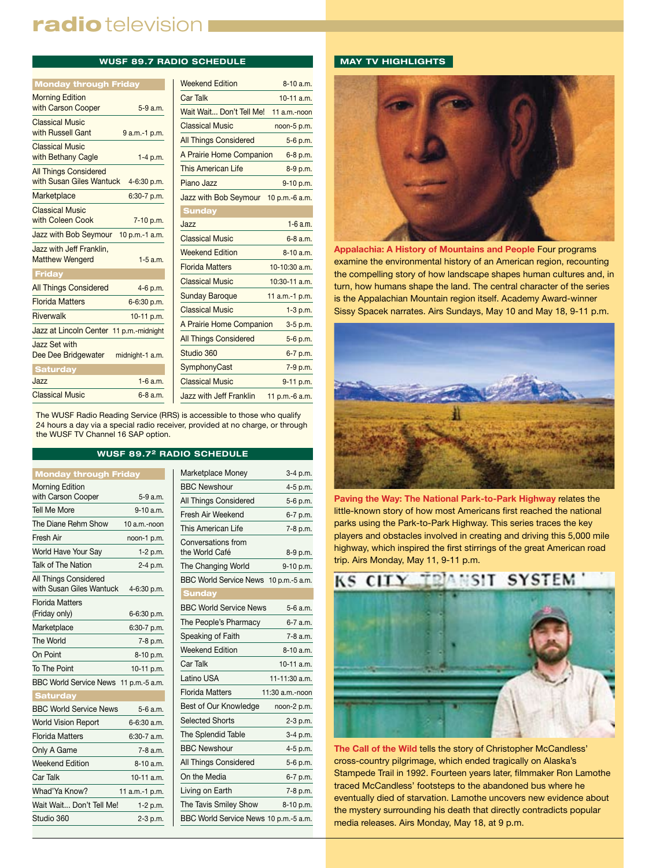# radio television I

#### **WUSF 89.7 RADIO SCHEDULE**

| <b>Monday through Friday</b>                             |                 |
|----------------------------------------------------------|-----------------|
| <b>Morning Edition</b><br>with Carson Cooper             | $5-9a.m.$       |
| <b>Classical Music</b><br>with Russell Gant              | 9 a.m.-1 p.m.   |
| <b>Classical Music</b><br>with Bethany Cagle             | $1-4 p.m.$      |
| <b>All Things Considered</b><br>with Susan Giles Wantuck | 4-6:30 p.m.     |
| Marketplace                                              | $6:30-7$ p.m.   |
| <b>Classical Music</b><br>with Coleen Cook               | 7-10 p.m.       |
| Jazz with Bob Seymour                                    | 10 p.m.-1 a.m.  |
| Jazz with Jeff Franklin,<br><b>Matthew Wengerd</b>       | $1-5$ a m       |
| <b>Friday</b>                                            |                 |
| <b>All Things Considered</b>                             | 4-6 p.m.        |
| <b>Florida Matters</b>                                   | 6-6:30 p.m.     |
| <b>Riverwalk</b>                                         | 10-11 p.m.      |
| Jazz at Lincoln Center 11 p.m.-midnight                  |                 |
| Jazz Set with<br>Dee Dee Bridgewater                     | midnight-1 a.m. |
| <b>Saturday</b>                                          |                 |
| $J$ azz                                                  | $1-6$ a.m.      |
| <b>Classical Music</b>                                   | $6-8a$ m        |

| <b>Weekend Edition</b>               | $8-10a.m.$       |
|--------------------------------------|------------------|
| <b>Car Talk</b>                      | $10-11$ a.m.     |
| Wait Wait Don't Tell Me!             | $11$ a.m.-noon   |
| <b>Classical Music</b>               | noon-5 p.m.      |
| <b>All Things Considered</b>         | 5-6 p.m.         |
| A Prairie Home Companion             | 6-8 p.m.         |
| This American Life                   | 8-9 p.m.         |
| Piano Jazz                           | 9-10 p.m.        |
| Jazz with Bob Seymour 10 p.m.-6 a.m. |                  |
| <b>Sunday</b>                        |                  |
| Jazz                                 | $1 - 6$ a.m.     |
| <b>Classical Music</b>               | 6-8 a.m.         |
| <b>Weekend Edition</b>               | $8-10a$ m        |
| <b>Florida Matters</b>               | $10-10:30$ a.m.  |
| <b>Classical Music</b>               | $10:30-11$ a.m.  |
| Sunday Baroque                       | 11 $a.m.-1 p.m.$ |
| <b>Classical Music</b>               | $1-3 p.m.$       |
| A Prairie Home Companion             | 3-5 p.m.         |
| <b>All Things Considered</b>         | 5-6 p.m.         |
| Studio 360                           | 6-7 p.m.         |
| <b>SymphonyCast</b>                  | 7-9 p.m.         |
| <b>Classical Music</b>               | 9-11 p.m.        |
| Jazz with Jeff Franklin              | 11 p.m.-6 a.m.   |

The WUSF Radio Reading Service (RRS) is accessible to those who qualify 24 hours a day via a special radio receiver, provided at no charge, or through the WUSF TV Channel 16 SAP option.

#### **WUSF 89.72 RADIO SCHEDULE**

| <b>Monday through Friday</b>                      |                 |
|---------------------------------------------------|-----------------|
| <b>Morning Edition</b>                            |                 |
| with Carson Cooper                                | 5-9 a.m.        |
| <b>Tell Me More</b>                               | $9-10$ a.m.     |
| The Diane Rehm Show                               | 10 a.m.-noon    |
| Fresh Air                                         | noon-1 p.m.     |
| World Have Your Say                               | $1-2$ p.m.      |
| Talk of The Nation                                | 2-4 p.m.        |
| All Things Considered<br>with Susan Giles Wantuck | 4-6:30 p.m.     |
| <b>Florida Matters</b><br>(Friday only)           | 6-6:30 p.m.     |
| Marketplace                                       | 6:30-7 p.m.     |
| The World                                         | 7-8 p.m.        |
| On Point                                          | 8-10 p.m.       |
| To The Point                                      | 10-11 p.m.      |
| BBC World Service News 11 p.m.-5 a.m.             |                 |
| <b>Saturday</b>                                   |                 |
| <b>BBC World Service News</b>                     | 5-6 a.m.        |
| <b>World Vision Report</b>                        | $6 - 6:30$ a.m. |
| <b>Florida Matters</b>                            | $6:30-7$ a.m.   |
| Only A Game                                       | $7-8$ a.m.      |
| <b>Weekend Edition</b>                            | $8 - 10$ a.m.   |
| Car Talk                                          | $10-11$ a.m.    |
| Whad'Ya Know?                                     | 11 a.m.-1 p.m.  |
| Wait Wait Don't Tell Me!                          | 1-2 p.m.        |
| Studio 360                                        | 2-3 p.m.        |

| Marketplace Money                     | 3-4 p.m.        |
|---------------------------------------|-----------------|
| <b>BBC Newshour</b>                   | 4-5 p.m.        |
| All Things Considered                 | 5-6 p.m.        |
| Fresh Air Weekend                     | 6-7 p.m.        |
| This American Life                    | 7-8 p.m.        |
| Conversations from<br>the World Café  | 8-9 p.m.        |
| The Changing World                    | 9-10 p.m.       |
| BBC World Service News 10 p.m.-5 a.m. |                 |
| <b>Sunday</b>                         |                 |
| <b>BBC World Service News</b>         | 5-6 a.m.        |
| The People's Pharmacy                 | 6-7 a.m.        |
| Speaking of Faith                     | 7-8 a.m.        |
| <b>Weekend Edition</b>                | 8-10 a.m.       |
| Car Talk                              | 10-11 a.m.      |
| Latino USA                            | 11-11:30 a.m.   |
| <b>Florida Matters</b>                | 11:30 a.m.-noon |
| Best of Our Knowledge                 | noon-2 p.m.     |
| <b>Selected Shorts</b>                | 2-3 p.m.        |
| The Splendid Table                    | 3-4 p.m.        |
| <b>BBC Newshour</b>                   | 4-5 p.m.        |
| All Things Considered                 | 5-6 p.m.        |
| On the Media                          | 6-7 p.m.        |
| Living on Earth                       | 7-8 p.m.        |
| The Tavis Smiley Show                 | 8-10 p.m.       |
| BBC World Service News 10 p.m.-5 a.m. |                 |

#### **MAY TV HIGHLIGHTS**



**Appalachia: A History of Mountains and People** Four programs examine the environmental history of an American region, recounting the compelling story of how landscape shapes human cultures and, in turn, how humans shape the land. The central character of the series is the Appalachian Mountain region itself. Academy Award-winner Sissy Spacek narrates. Airs Sundays, May 10 and May 18, 9-11 p.m.



**Paving the Way: The National Park-to-Park Highway** relates the little-known story of how most Americans first reached the national parks using the Park-to-Park Highway. This series traces the key players and obstacles involved in creating and driving this 5,000 mile highway, which inspired the first stirrings of the great American road trip. Airs Monday, May 11, 9-11 p.m.



**The Call of the Wild** tells the story of Christopher McCandless' cross-country pilgrimage, which ended tragically on Alaska's Stampede Trail in 1992. Fourteen years later, filmmaker Ron Lamothe traced McCandless' footsteps to the abandoned bus where he eventually died of starvation. Lamothe uncovers new evidence about the mystery surrounding his death that directly contradicts popular media releases. Airs Monday, May 18, at 9 p.m.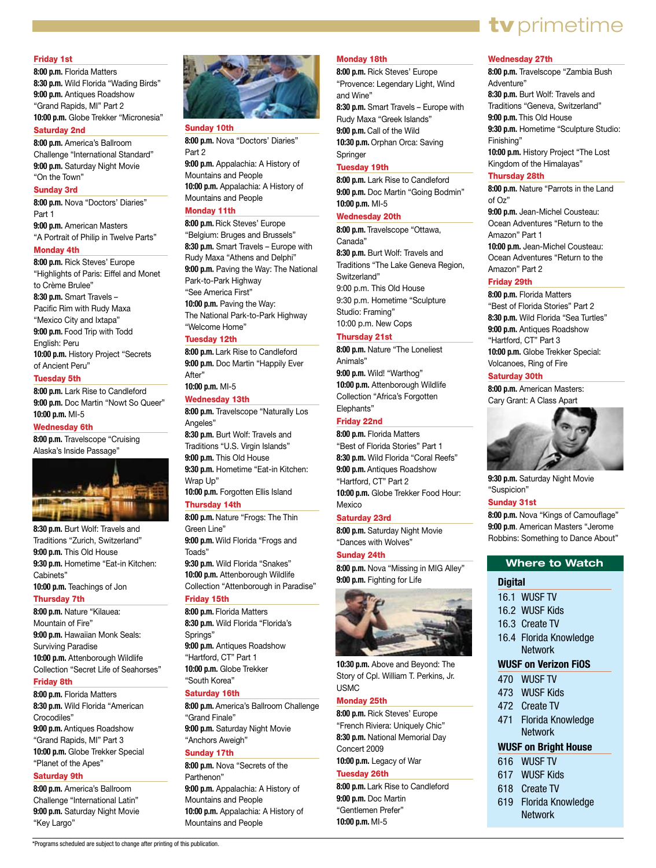#### Friday 1st

**8:00 p.m.** Florida Matters **8:30 p.m.** Wild Florida "Wading Birds" **9:00 p.m.** Antiques Roadshow "Grand Rapids, MI" Part 2 **10:00 p.m.** Globe Trekker "Micronesia"

#### Saturday 2nd

**8:00 p.m.** America's Ballroom Challenge "International Standard" **9:00 p.m.** Saturday Night Movie "On the Town"

#### Sunday 3rd

**8:00 p.m.** Nova "Doctors' Diaries" Part 1

**9:00 p.m.** American Masters "A Portrait of Philip in Twelve Parts"

#### Monday 4th

**8:00 p.m.** Rick Steves' Europe "Highlights of Paris: Eiffel and Monet to Crème Brulee" **8:30 p.m.** Smart Travels – Pacific Rim with Rudy Maxa "Mexico City and Ixtapa" **9:00 p.m.** Food Trip with Todd English: Peru **10:00 p.m.** History Project "Secrets of Ancient Peru"

#### Tuesday 5th

**8:00 p.m.** Lark Rise to Candleford **9:00 p.m.** Doc Martin "Nowt So Queer" **10:00 p.m.** MI-5

#### Wednesday 6th

**8:00 p.m.** Travelscope "Cruising Alaska's Inside Passage"



**8:30 p.m.** Burt Wolf: Travels and Traditions "Zurich, Switzerland" **9:00 p.m.** This Old House **9:30 p.m.** Hometime "Eat-in Kitchen: Cabinets" **10:00 p.m.** Teachings of Jon

#### Thursday 7th

**8:00 p.m.** Nature "Kilauea: Mountain of Fire" **9:00 p.m.** Hawaiian Monk Seals: Surviving Paradise **10:00 p.m.** Attenborough Wildlife Collection "Secret Life of Seahorses"

#### Friday 8th

**8:00 p.m.** Florida Matters **8:30 p.m.** Wild Florida "American Crocodiles" **9:00 p.m.** Antiques Roadshow "Grand Rapids, MI" Part 3 **10:00 p.m.** Globe Trekker Special "Planet of the Apes"

#### Saturday 9th

**8:00 p.m.** America's Ballroom Challenge "International Latin" **9:00 p.m.** Saturday Night Movie "Key Largo"



#### Sunday 10th

**8:00 p.m.** Nova "Doctors' Diaries" Part 2

**9:00 p.m.** Appalachia: A History of Mountains and People **10:00 p.m.** Appalachia: A History of Mountains and People

#### Monday 11th

**8:00 p.m.** Rick Steves' Europe "Belgium: Bruges and Brussels" **8:30 p.m.** Smart Travels – Europe with Rudy Maxa "Athens and Delphi" **9:00 p.m.** Paving the Way: The National Park-to-Park Highway "See America First" **10:00 p.m.** Paving the Way: The National Park-to-Park Highway "Welcome Home"

#### Tuesday 12th

**8:00 p.m.** Lark Rise to Candleford **9:00 p.m.** Doc Martin "Happily Ever After"

#### **10:00 p.m.** MI-5 Wednesday 13th

**8:00 p.m.** Travelscope "Naturally Los Angeles" **8:30 p.m.** Burt Wolf: Travels and

Traditions "U.S. Virgin Islands" **9:00 p.m.** This Old House **9:30 p.m.** Hometime "Eat-in Kitchen: Wrap Up" **10:00 p.m.** Forgotten Ellis Island

#### Thursday 14th

**8:00 p.m.** Nature "Frogs: The Thin Green Line" **9:00 p.m.** Wild Florida "Frogs and Toads" **9:30 p.m.** Wild Florida "Snakes" **10:00 p.m.** Attenborough Wildlife Collection "Attenborough in Paradise" Friday 15th

#### **8:00 p.m.** Florida Matters

**8:30 p.m.** Wild Florida "Florida's Springs" **9:00 p.m.** Antiques Roadshow "Hartford, CT" Part 1 **10:00 p.m.** Globe Trekker "South Korea"

#### Saturday 16th

**8:00 p.m.** America's Ballroom Challenge "Grand Finale" **9:00 p.m.** Saturday Night Movie "Anchors Aweigh"

#### Sunday 17th

**8:00 p.m.** Nova "Secrets of the Parthenon" **9:00 p.m.** Appalachia: A History of Mountains and People **10:00 p.m.** Appalachia: A History of Mountains and People

#### Monday 18th

**8:00 p.m.** Rick Steves' Europe "Provence: Legendary Light, Wind and Wine" **8:30 p.m.** Smart Travels – Europe with Rudy Maxa "Greek Islands" **9:00 p.m.** Call of the Wild **10:30 p.m.** Orphan Orca: Saving

Springer

#### Tuesday 19th

**8:00 p.m.** Lark Rise to Candleford **9:00 p.m.** Doc Martin "Going Bodmin" **10:00 p.m.** MI-5

#### Wednesday 20th

**8:00 p.m.** Travelscope "Ottawa, Canada" **8:30 p.m.** Burt Wolf: Travels and Traditions "The Lake Geneva Region, Switzerland" 9:00 p.m. This Old House 9:30 p.m. Hometime "Sculpture Studio: Framing" 10:00 p.m. New Cops

#### Thursday 21st

**8:00 p.m.** Nature "The Loneliest Animals" **9:00 p.m.** Wild! "Warthog" **10:00 p.m.** Attenborough Wildlife Collection "Africa's Forgotten

#### Elephants" Friday 22nd

**8:00 p.m.** Florida Matters "Best of Florida Stories" Part 1 **8:30 p.m.** Wild Florida "Coral Reefs" **9:00 p.m.** Antiques Roadshow "Hartford, CT" Part 2 **10:00 p.m.** Globe Trekker Food Hour: Mexico

#### Saturday 23rd

**8:00 p.m.** Saturday Night Movie "Dances with Wolves"

Sunday 24th **8:00 p.m.** Nova "Missing in MIG Alley" **9:00 p.m.** Fighting for Life



**10:30 p.m.** Above and Beyond: The Story of Cpl. William T. Perkins, Jr. USMC

#### Monday 25th

**8:00 p.m.** Rick Steves' Europe "French Riviera: Uniquely Chic" **8:30 p.m.** National Memorial Day Concert 2009 **10:00 p.m.** Legacy of War

#### Tuesday 26th

**8:00 p.m.** Lark Rise to Candleford **9:00 p.m.** Doc Martin "Gentlemen Prefer" **10:00 p.m.** MI-5

#### Wednesday 27th

**8:00 p.m.** Travelscope "Zambia Bush Adventure" **8:30 p.m.** Burt Wolf: Travels and Traditions "Geneva, Switzerland" **9:00 p.m.** This Old House **9:30 p.m.** Hometime "Sculpture Studio: Finishing" **10:00 p.m.** History Project "The Lost Kingdom of the Himalayas"

tv primetime

#### Thursday 28th

**8:00 p.m.** Nature "Parrots in the Land  $of$   $Oz$ "

**9:00 p.m.** Jean-Michel Cousteau: Ocean Adventures "Return to the Amazon" Part 1

**10:00 p.m.** Jean-Michel Cousteau: Ocean Adventures "Return to the Amazon" Part 2

#### Friday 29th

**8:00 p.m.** Florida Matters "Best of Florida Stories" Part 2 **8:30 p.m.** Wild Florida "Sea Turtles" **9:00 p.m.** Antiques Roadshow "Hartford, CT" Part 3 **10:00 p.m.** Globe Trekker Special: Volcanoes, Ring of Fire

#### Saturday 30th

**8:00 p.m.** American Masters: Cary Grant: A Class Apart



**9:30 p.m.** Saturday Night Movie "Suspicion"

Sunday 31st

**8:00 p.m.** Nova "Kings of Camouflage" **9:00 p.m**. American Masters "Jerome Robbins: Something to Dance About"

#### **Where to Watch**

#### **Digital**

- 16.1 WUSF TV
- 16.2 WUSF Kids
- 16.3 Create TV
- 16.4 Florida Knowledge **Network**

#### **WUSF on Verizon FiOS**

- 470 WUSF TV
- 473 WUSF Kids
- 472 Create TV
- 471 Florida Knowledge Network

#### **WUSF on Bright House**

- 616 WUSF TV
- 617 WUSF Kids
- 618 Create TV
- 619 Florida Knowledge Network